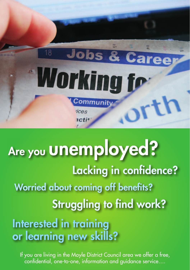

## Are you **UNEMployed?** Lacking in confidence? Worried about coming off benefits? Struggling to find work? Interested in training or learning new skills?

If you are living in the Moyle District Council area we offer a free, confidential, one-to-one, information and guidance service….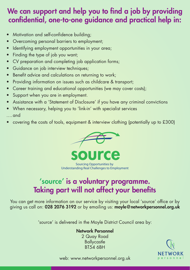### We can support and help you to find a job by providing confidential, one-to-one guidance and practical help in:

- Motivation and self-confidence building;
- Overcoming personal barriers to employment;
- Identifying employment opportunities in your area;
- Finding the type of job you want;
- CV preparation and completing job application forms;
- Guidance on job interview techniques;
- Benefit advice and calculations on returning to work;
- Providing information on issues such as childcare & transport;
- Career training and educational opportunities (we may cover costs);
- Support when you are in employment.
- Assistance with a 'Statement of Disclosure' if you have any criminal convictions
- When necessary, helping you to 'link-in' with specialist services

….and

covering the costs of tools, equipment & interview clothing (potentially up to  $£300$ )



Sourcing Opportunities by Understanding Real Challenges to Employment

## 'source' is a voluntary programme. Taking part will not affect your benefits

You can get more information on our service by visiting your local 'source' office or by giving us call on: 028 2076 3192 or by emailing us: moyle@networkpersonnel.org.uk

'source' is delivered in the Moyle District Council area by:

#### Network Personnel

2 Quay Road **Ballycastle** BT54 6BH



web: www.networkpersonnel.org.uk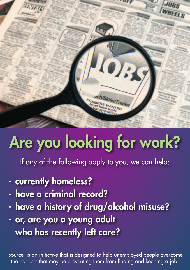

# Are you looking for work?

If any of the following apply to you, we can help:

- currently homeless?
- have a criminal record?
- have a history of drug/alcohol misuse?
- or, are you a young adult who has recently left care?

'source' is an initiative that is designed to help unemployed people overcome the barriers that may be preventing them from finding and keeping a job.